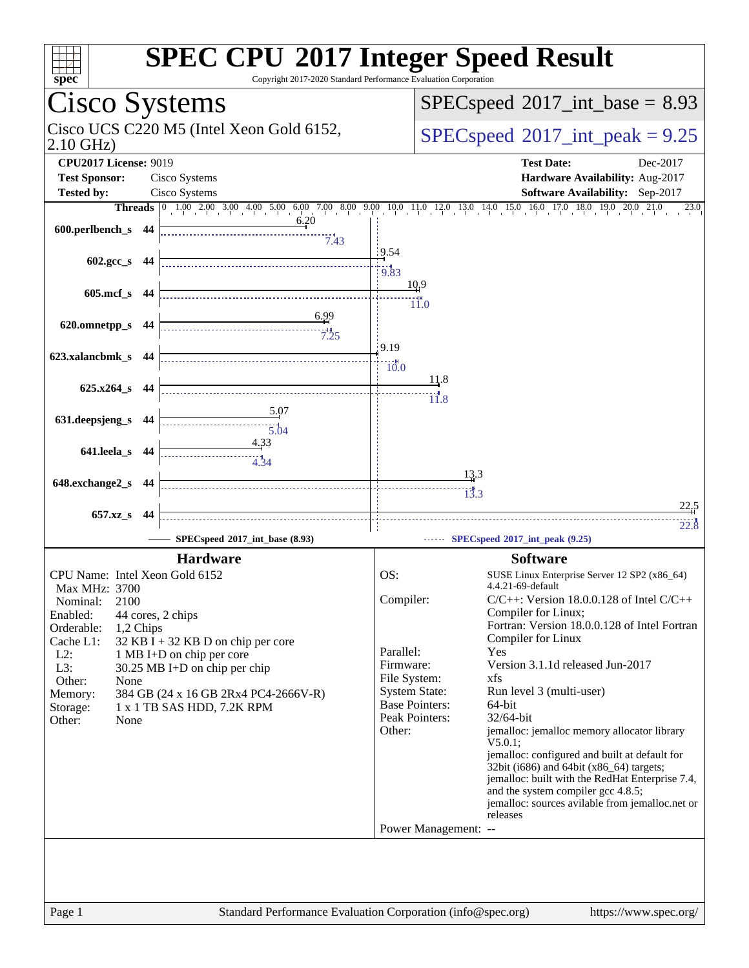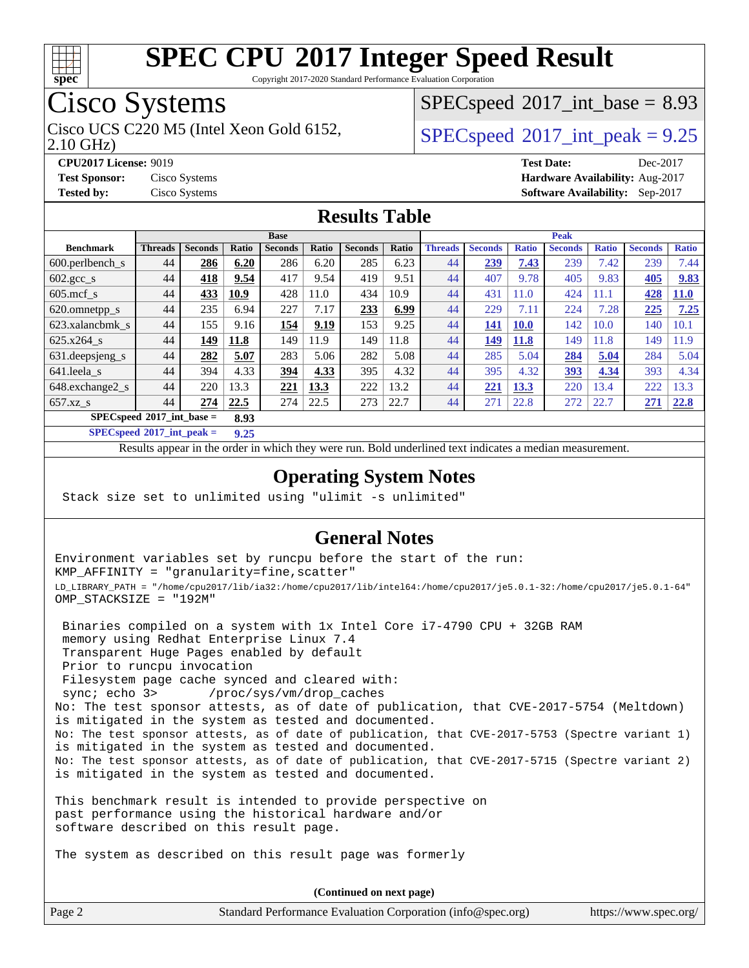

Copyright 2017-2020 Standard Performance Evaluation Corporation

# Cisco Systems

2.10 GHz) Cisco UCS C220 M5 (Intel Xeon Gold 6152,  $SPECspeed@2017$  $SPECspeed@2017$  int peak = 9.25

 $SPECspeed^{\circ}2017\_int\_base = 8.93$  $SPECspeed^{\circ}2017\_int\_base = 8.93$ 

**[CPU2017 License:](http://www.spec.org/auto/cpu2017/Docs/result-fields.html#CPU2017License)** 9019 **[Test Date:](http://www.spec.org/auto/cpu2017/Docs/result-fields.html#TestDate)** Dec-2017 **[Test Sponsor:](http://www.spec.org/auto/cpu2017/Docs/result-fields.html#TestSponsor)** Cisco Systems **[Hardware Availability:](http://www.spec.org/auto/cpu2017/Docs/result-fields.html#HardwareAvailability)** Aug-2017 **[Tested by:](http://www.spec.org/auto/cpu2017/Docs/result-fields.html#Testedby)** Cisco Systems **[Software Availability:](http://www.spec.org/auto/cpu2017/Docs/result-fields.html#SoftwareAvailability)** Sep-2017

### **[Results Table](http://www.spec.org/auto/cpu2017/Docs/result-fields.html#ResultsTable)**

|                                     | <b>Base</b>    |                |       |                |       |                | <b>Peak</b> |                |                |              |                |              |                |              |
|-------------------------------------|----------------|----------------|-------|----------------|-------|----------------|-------------|----------------|----------------|--------------|----------------|--------------|----------------|--------------|
| <b>Benchmark</b>                    | <b>Threads</b> | <b>Seconds</b> | Ratio | <b>Seconds</b> | Ratio | <b>Seconds</b> | Ratio       | <b>Threads</b> | <b>Seconds</b> | <b>Ratio</b> | <b>Seconds</b> | <b>Ratio</b> | <b>Seconds</b> | <b>Ratio</b> |
| $600.$ perlbench_s                  | 44             | 286            | 6.20  | 286            | 6.20  | 285            | 6.23        | 44             | 239            | 7.43         | 239            | 7.42         | 239            | 7.44         |
| 602.gcc_s                           | 44             | 418            | 9.54  | 417            | 9.54  | 419            | 9.51        | 44             | 407            | 9.78         | 405            | 9.83         | 405            | 9.83         |
| $605$ .mcf s                        | 44             | 433            | 10.9  | 428            | 11.0  | 434            | 10.9        | 44             | 431            | 11.0         | 424            | .1.1         | 428            | <b>11.0</b>  |
| 620.omnetpp_s                       | 44             | 235            | 6.94  | 227            | 7.17  | 233            | 6.99        | 44             | 229            | 7.11         | 224            | 7.28         | 225            | 7.25         |
| 623.xalancbmk s                     | 44             | 155            | 9.16  | 154            | 9.19  | 153            | 9.25        | 44             | 141            | <b>10.0</b>  | 142            | 10.0         | 140            | 10.1         |
| 625.x264 s                          | 44             | 149            | 11.8  | 149            | 11.9  | 149            | 11.8        | 44             | 149            | 11.8         | 149            | 1.8          | 149            | 1.9          |
| 631.deepsjeng_s                     | 44             | 282            | 5.07  | 283            | 5.06  | 282            | 5.08        | 44             | 285            | 5.04         | 284            | 5.04         | 284            | 5.04         |
| 641.leela s                         | 44             | 394            | 4.33  | 394            | 4.33  | 395            | 4.32        | 44             | 395            | 4.32         | <u>393</u>     | 4.34         | 393            | 4.34         |
| 648.exchange2_s                     | 44             | 220            | 13.3  | 221            | 13.3  | 222            | 13.2        | 44             | 221            | 13.3         | 220            | 3.4          | 222            | 13.3         |
| $657.xz$ <sub>S</sub>               | 44             | 274            | 22.5  | 274            | 22.5  | 273            | 22.7        | 44             | 271            | 22.8         | 272            | 22.7         | 271            | 22.8         |
| $SPECspeed*2017$ int base =<br>8.93 |                |                |       |                |       |                |             |                |                |              |                |              |                |              |

**[SPECspeed](http://www.spec.org/auto/cpu2017/Docs/result-fields.html#SPECspeed2017intpeak)[2017\\_int\\_peak =](http://www.spec.org/auto/cpu2017/Docs/result-fields.html#SPECspeed2017intpeak) 9.25**

Results appear in the [order in which they were run.](http://www.spec.org/auto/cpu2017/Docs/result-fields.html#RunOrder) Bold underlined text [indicates a median measurement](http://www.spec.org/auto/cpu2017/Docs/result-fields.html#Median).

#### **[Operating System Notes](http://www.spec.org/auto/cpu2017/Docs/result-fields.html#OperatingSystemNotes)**

Stack size set to unlimited using "ulimit -s unlimited"

#### **[General Notes](http://www.spec.org/auto/cpu2017/Docs/result-fields.html#GeneralNotes)**

Environment variables set by runcpu before the start of the run: KMP\_AFFINITY = "granularity=fine,scatter" LD\_LIBRARY\_PATH = "/home/cpu2017/lib/ia32:/home/cpu2017/lib/intel64:/home/cpu2017/je5.0.1-32:/home/cpu2017/je5.0.1-64" OMP\_STACKSIZE = "192M"

 Binaries compiled on a system with 1x Intel Core i7-4790 CPU + 32GB RAM memory using Redhat Enterprise Linux 7.4 Transparent Huge Pages enabled by default Prior to runcpu invocation Filesystem page cache synced and cleared with: sync; echo 3> /proc/sys/vm/drop\_caches No: The test sponsor attests, as of date of publication, that CVE-2017-5754 (Meltdown) is mitigated in the system as tested and documented. No: The test sponsor attests, as of date of publication, that CVE-2017-5753 (Spectre variant 1) is mitigated in the system as tested and documented. No: The test sponsor attests, as of date of publication, that CVE-2017-5715 (Spectre variant 2) is mitigated in the system as tested and documented.

This benchmark result is intended to provide perspective on past performance using the historical hardware and/or software described on this result page.

The system as described on this result page was formerly

Page 2 Standard Performance Evaluation Corporation [\(info@spec.org\)](mailto:info@spec.org) <https://www.spec.org/> **(Continued on next page)**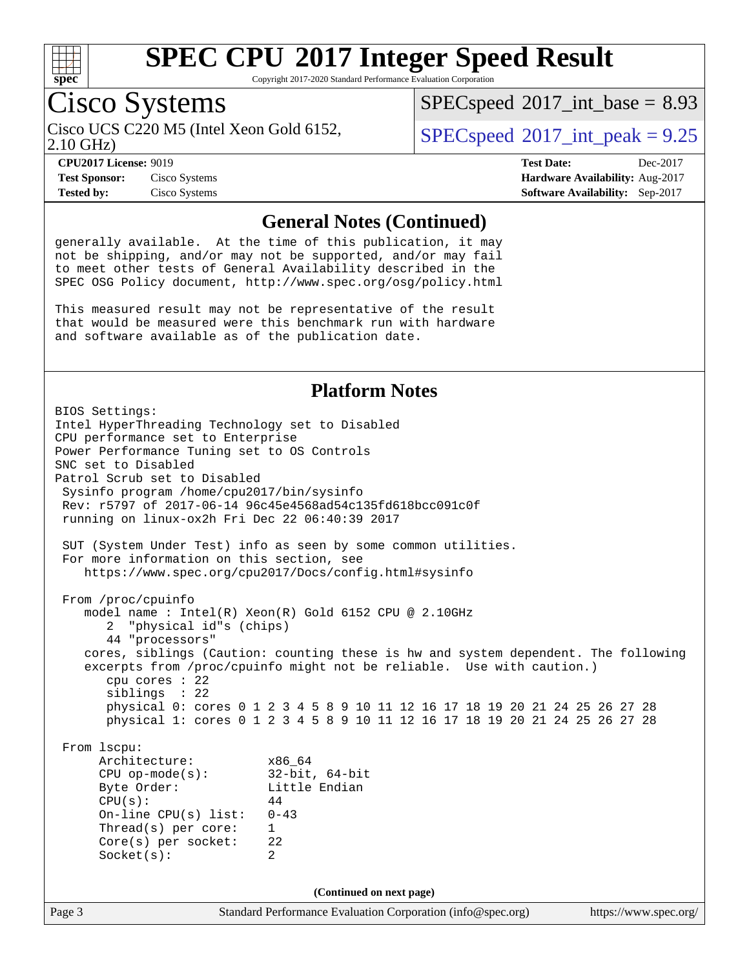

Copyright 2017-2020 Standard Performance Evaluation Corporation

# Cisco Systems

 $SPECspeed^{\circ}2017\_int\_base = 8.93$  $SPECspeed^{\circ}2017\_int\_base = 8.93$ 

Cisco UCS C220 M5 (Intel Xeon Gold 6152,  $SPECspeed@2017$  $SPECspeed@2017$  int peak = 9.25

### 2.10 GHz)

**[Test Sponsor:](http://www.spec.org/auto/cpu2017/Docs/result-fields.html#TestSponsor)** Cisco Systems **[Hardware Availability:](http://www.spec.org/auto/cpu2017/Docs/result-fields.html#HardwareAvailability)** Aug-2017 **[Tested by:](http://www.spec.org/auto/cpu2017/Docs/result-fields.html#Testedby)** Cisco Systems **[Software Availability:](http://www.spec.org/auto/cpu2017/Docs/result-fields.html#SoftwareAvailability)** Sep-2017

**[CPU2017 License:](http://www.spec.org/auto/cpu2017/Docs/result-fields.html#CPU2017License)** 9019 **[Test Date:](http://www.spec.org/auto/cpu2017/Docs/result-fields.html#TestDate)** Dec-2017

#### **[General Notes \(Continued\)](http://www.spec.org/auto/cpu2017/Docs/result-fields.html#GeneralNotes)**

generally available. At the time of this publication, it may not be shipping, and/or may not be supported, and/or may fail to meet other tests of General Availability described in the SPEC OSG Policy document, <http://www.spec.org/osg/policy.html>

This measured result may not be representative of the result that would be measured were this benchmark run with hardware and software available as of the publication date.

#### **[Platform Notes](http://www.spec.org/auto/cpu2017/Docs/result-fields.html#PlatformNotes)**

Page 3 Standard Performance Evaluation Corporation [\(info@spec.org\)](mailto:info@spec.org) <https://www.spec.org/> BIOS Settings: Intel HyperThreading Technology set to Disabled CPU performance set to Enterprise Power Performance Tuning set to OS Controls SNC set to Disabled Patrol Scrub set to Disabled Sysinfo program /home/cpu2017/bin/sysinfo Rev: r5797 of 2017-06-14 96c45e4568ad54c135fd618bcc091c0f running on linux-ox2h Fri Dec 22 06:40:39 2017 SUT (System Under Test) info as seen by some common utilities. For more information on this section, see <https://www.spec.org/cpu2017/Docs/config.html#sysinfo> From /proc/cpuinfo model name : Intel(R) Xeon(R) Gold 6152 CPU @ 2.10GHz 2 "physical id"s (chips) 44 "processors" cores, siblings (Caution: counting these is hw and system dependent. The following excerpts from /proc/cpuinfo might not be reliable. Use with caution.) cpu cores : 22 siblings : 22 physical 0: cores 0 1 2 3 4 5 8 9 10 11 12 16 17 18 19 20 21 24 25 26 27 28 physical 1: cores 0 1 2 3 4 5 8 9 10 11 12 16 17 18 19 20 21 24 25 26 27 28 From lscpu: Architecture: x86\_64 CPU op-mode(s): 32-bit, 64-bit Byte Order: Little Endian  $CPU(s):$  44 On-line CPU(s) list: 0-43 Thread(s) per core: 1 Core(s) per socket: 22 Socket(s): 2 **(Continued on next page)**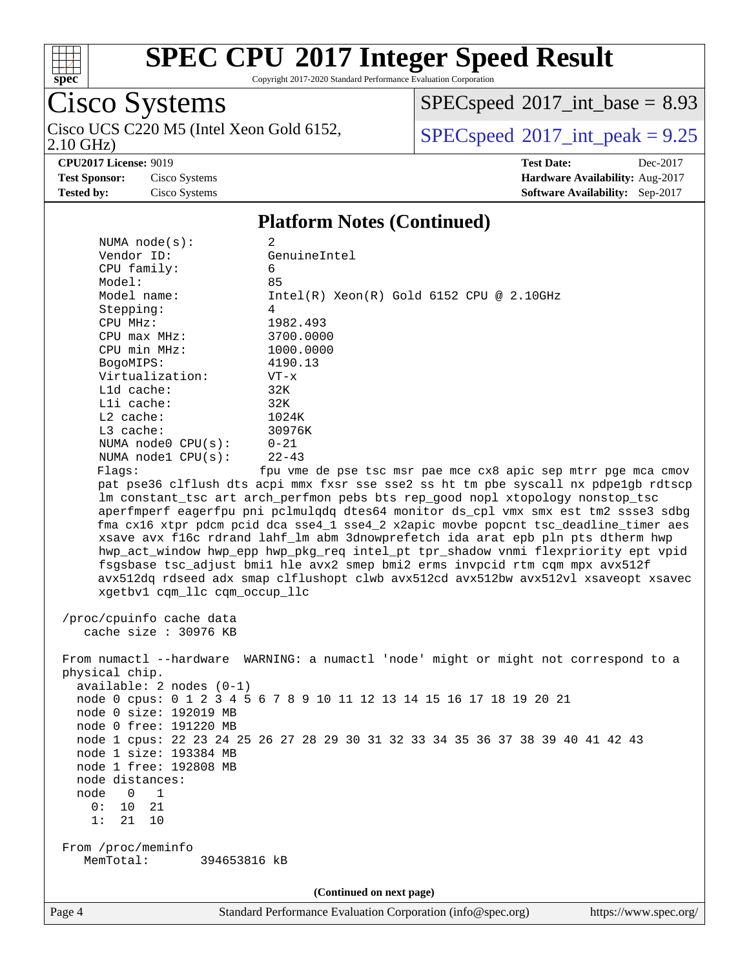

Copyright 2017-2020 Standard Performance Evaluation Corporation

Cisco Systems<br>Cisco UCS C220 M5 (Intel Xeon Gold 6152, 2.10 GHz)

 $SPEC speed$ <sup>®</sup> $2017$ \_int\_base = 8.93

 $SPEC speed<sup>®</sup>2017_int_ppeak = 9.25$ 

**[Tested by:](http://www.spec.org/auto/cpu2017/Docs/result-fields.html#Testedby)** Cisco Systems **[Software Availability:](http://www.spec.org/auto/cpu2017/Docs/result-fields.html#SoftwareAvailability)** Sep-2017

**[CPU2017 License:](http://www.spec.org/auto/cpu2017/Docs/result-fields.html#CPU2017License)** 9019 **[Test Date:](http://www.spec.org/auto/cpu2017/Docs/result-fields.html#TestDate)** Dec-2017 **[Test Sponsor:](http://www.spec.org/auto/cpu2017/Docs/result-fields.html#TestSponsor)** Cisco Systems **[Hardware Availability:](http://www.spec.org/auto/cpu2017/Docs/result-fields.html#HardwareAvailability)** Aug-2017

#### **[Platform Notes \(Continued\)](http://www.spec.org/auto/cpu2017/Docs/result-fields.html#PlatformNotes)**

| NUMA $node(s):$                                                                      | 2                                                                                                                                                                    |  |  |  |  |  |  |
|--------------------------------------------------------------------------------------|----------------------------------------------------------------------------------------------------------------------------------------------------------------------|--|--|--|--|--|--|
| Vendor ID:                                                                           | GenuineIntel                                                                                                                                                         |  |  |  |  |  |  |
| CPU family:                                                                          | 6                                                                                                                                                                    |  |  |  |  |  |  |
| Model:                                                                               | 85                                                                                                                                                                   |  |  |  |  |  |  |
| Model name:                                                                          | $Intel(R) Xeon(R) Gold 6152 CPU @ 2.10GHz$                                                                                                                           |  |  |  |  |  |  |
| Stepping:                                                                            | 4                                                                                                                                                                    |  |  |  |  |  |  |
| CPU MHz:                                                                             | 1982.493                                                                                                                                                             |  |  |  |  |  |  |
| $CPU$ $max$ $MHz$ :                                                                  | 3700.0000                                                                                                                                                            |  |  |  |  |  |  |
| CPU min MHz:                                                                         | 1000.0000                                                                                                                                                            |  |  |  |  |  |  |
| BogoMIPS:                                                                            | 4190.13                                                                                                                                                              |  |  |  |  |  |  |
| Virtualization:                                                                      | $VT - x$                                                                                                                                                             |  |  |  |  |  |  |
| $L1d$ cache:                                                                         | 32K                                                                                                                                                                  |  |  |  |  |  |  |
| Lli cache:                                                                           | 32K                                                                                                                                                                  |  |  |  |  |  |  |
| $L2$ cache:                                                                          | 1024K                                                                                                                                                                |  |  |  |  |  |  |
| $L3$ cache:                                                                          | 30976K                                                                                                                                                               |  |  |  |  |  |  |
| NUMA node0 CPU(s):                                                                   | $0 - 21$                                                                                                                                                             |  |  |  |  |  |  |
| NUMA $node1$ $CPU(s):$                                                               | $22 - 43$                                                                                                                                                            |  |  |  |  |  |  |
| Flags:                                                                               | fpu vme de pse tsc msr pae mce cx8 apic sep mtrr pge mca cmov                                                                                                        |  |  |  |  |  |  |
|                                                                                      | pat pse36 clflush dts acpi mmx fxsr sse sse2 ss ht tm pbe syscall nx pdpelgb rdtscp                                                                                  |  |  |  |  |  |  |
|                                                                                      | lm constant_tsc art arch_perfmon pebs bts rep_good nopl xtopology nonstop_tsc                                                                                        |  |  |  |  |  |  |
|                                                                                      | aperfmperf eagerfpu pni pclmulqdq dtes64 monitor ds_cpl vmx smx est tm2 ssse3 sdbg                                                                                   |  |  |  |  |  |  |
|                                                                                      | fma cx16 xtpr pdcm pcid dca sse4_1 sse4_2 x2apic movbe popcnt tsc_deadline_timer aes                                                                                 |  |  |  |  |  |  |
|                                                                                      | xsave avx f16c rdrand lahf_lm abm 3dnowprefetch ida arat epb pln pts dtherm hwp<br>hwp_act_window hwp_epp hwp_pkg_req intel_pt tpr_shadow vnmi flexpriority ept vpid |  |  |  |  |  |  |
|                                                                                      | fsgsbase tsc_adjust bmil hle avx2 smep bmi2 erms invpcid rtm cqm mpx avx512f                                                                                         |  |  |  |  |  |  |
|                                                                                      | avx512dq rdseed adx smap clflushopt clwb avx512cd avx512bw avx512vl xsaveopt xsavec                                                                                  |  |  |  |  |  |  |
| xgetbv1 cqm_llc cqm_occup_llc                                                        |                                                                                                                                                                      |  |  |  |  |  |  |
|                                                                                      |                                                                                                                                                                      |  |  |  |  |  |  |
| /proc/cpuinfo cache data                                                             |                                                                                                                                                                      |  |  |  |  |  |  |
| cache size $: 30976$ KB                                                              |                                                                                                                                                                      |  |  |  |  |  |  |
|                                                                                      |                                                                                                                                                                      |  |  |  |  |  |  |
| From numactl --hardware WARNING: a numactl 'node' might or might not correspond to a |                                                                                                                                                                      |  |  |  |  |  |  |
| physical chip.                                                                       |                                                                                                                                                                      |  |  |  |  |  |  |
| $available: 2 nodes (0-1)$                                                           |                                                                                                                                                                      |  |  |  |  |  |  |
| node 0 cpus: 0 1 2 3 4 5 6 7 8 9 10 11 12 13 14 15 16 17 18 19 20 21                 |                                                                                                                                                                      |  |  |  |  |  |  |
| node 0 size: 192019 MB                                                               |                                                                                                                                                                      |  |  |  |  |  |  |
| node 0 free: 191220 MB                                                               |                                                                                                                                                                      |  |  |  |  |  |  |
|                                                                                      | node 1 cpus: 22 23 24 25 26 27 28 29 30 31 32 33 34 35 36 37 38 39 40 41 42 43                                                                                       |  |  |  |  |  |  |
| node 1 size: 193384 MB                                                               |                                                                                                                                                                      |  |  |  |  |  |  |
| node 1 free: 192808 MB                                                               |                                                                                                                                                                      |  |  |  |  |  |  |
| node distances:                                                                      |                                                                                                                                                                      |  |  |  |  |  |  |
| node<br>$\overline{0}$<br>1                                                          |                                                                                                                                                                      |  |  |  |  |  |  |
| 0:<br>10<br>21                                                                       |                                                                                                                                                                      |  |  |  |  |  |  |
| 1:<br>21<br>10                                                                       |                                                                                                                                                                      |  |  |  |  |  |  |
|                                                                                      |                                                                                                                                                                      |  |  |  |  |  |  |
| From /proc/meminfo                                                                   |                                                                                                                                                                      |  |  |  |  |  |  |
| MemTotal:<br>394653816 kB                                                            |                                                                                                                                                                      |  |  |  |  |  |  |
|                                                                                      |                                                                                                                                                                      |  |  |  |  |  |  |
| (Continued on next page)                                                             |                                                                                                                                                                      |  |  |  |  |  |  |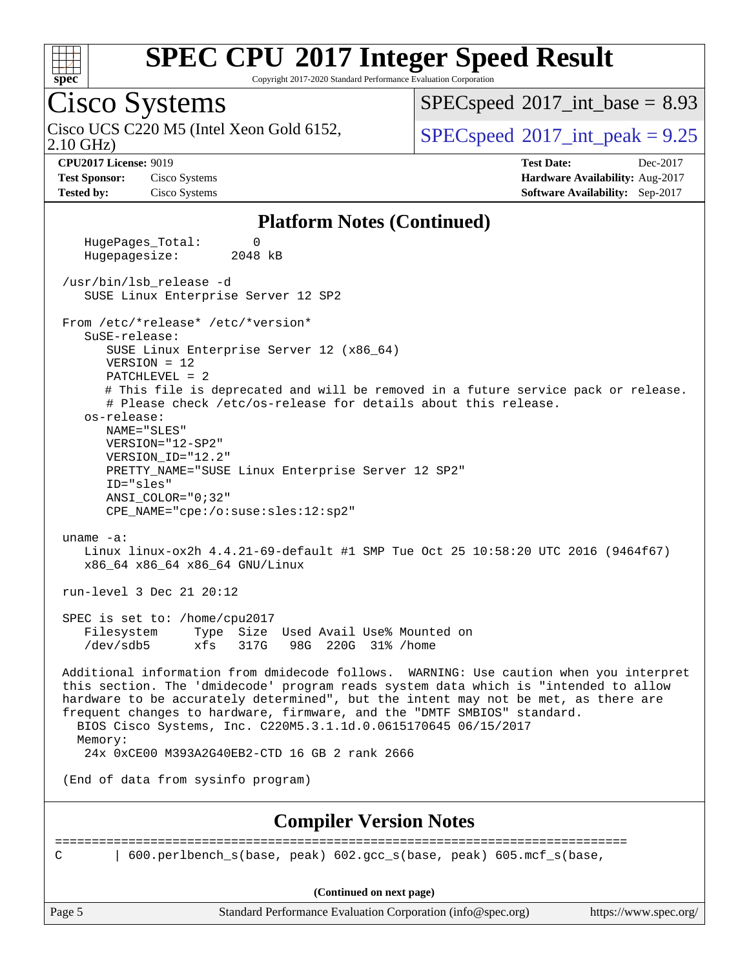

Copyright 2017-2020 Standard Performance Evaluation Corporation

# Cisco Systems

2.10 GHz) Cisco UCS C220 M5 (Intel Xeon Gold 6152,  $SPECspeed@2017$  $SPECspeed@2017$  int peak = 9.25

 $SPECspeed^{\circ}2017\_int\_base = 8.93$  $SPECspeed^{\circ}2017\_int\_base = 8.93$ 

**[Test Sponsor:](http://www.spec.org/auto/cpu2017/Docs/result-fields.html#TestSponsor)** Cisco Systems **[Hardware Availability:](http://www.spec.org/auto/cpu2017/Docs/result-fields.html#HardwareAvailability)** Aug-2017 **[Tested by:](http://www.spec.org/auto/cpu2017/Docs/result-fields.html#Testedby)** Cisco Systems **[Software Availability:](http://www.spec.org/auto/cpu2017/Docs/result-fields.html#SoftwareAvailability)** Sep-2017

**[CPU2017 License:](http://www.spec.org/auto/cpu2017/Docs/result-fields.html#CPU2017License)** 9019 **[Test Date:](http://www.spec.org/auto/cpu2017/Docs/result-fields.html#TestDate)** Dec-2017

#### **[Platform Notes \(Continued\)](http://www.spec.org/auto/cpu2017/Docs/result-fields.html#PlatformNotes)**

Page 5 Standard Performance Evaluation Corporation [\(info@spec.org\)](mailto:info@spec.org) <https://www.spec.org/> HugePages\_Total: 0 Hugepagesize: 2048 kB /usr/bin/lsb\_release -d SUSE Linux Enterprise Server 12 SP2 From /etc/\*release\* /etc/\*version\* SuSE-release: SUSE Linux Enterprise Server 12 (x86\_64) VERSION = 12 PATCHLEVEL = 2 # This file is deprecated and will be removed in a future service pack or release. # Please check /etc/os-release for details about this release. os-release: NAME="SLES" VERSION="12-SP2" VERSION\_ID="12.2" PRETTY\_NAME="SUSE Linux Enterprise Server 12 SP2" ID="sles" ANSI\_COLOR="0;32" CPE\_NAME="cpe:/o:suse:sles:12:sp2" uname -a: Linux linux-ox2h 4.4.21-69-default #1 SMP Tue Oct 25 10:58:20 UTC 2016 (9464f67) x86\_64 x86\_64 x86\_64 GNU/Linux run-level 3 Dec 21 20:12 SPEC is set to: /home/cpu2017<br>Filesystem Type Size Type Size Used Avail Use% Mounted on /dev/sdb5 xfs 317G 98G 220G 31% /home Additional information from dmidecode follows. WARNING: Use caution when you interpret this section. The 'dmidecode' program reads system data which is "intended to allow hardware to be accurately determined", but the intent may not be met, as there are frequent changes to hardware, firmware, and the "DMTF SMBIOS" standard. BIOS Cisco Systems, Inc. C220M5.3.1.1d.0.0615170645 06/15/2017 Memory: 24x 0xCE00 M393A2G40EB2-CTD 16 GB 2 rank 2666 (End of data from sysinfo program) **[Compiler Version Notes](http://www.spec.org/auto/cpu2017/Docs/result-fields.html#CompilerVersionNotes)** ============================================================================== C | 600.perlbench\_s(base, peak) 602.gcc\_s(base, peak) 605.mcf\_s(base, **(Continued on next page)**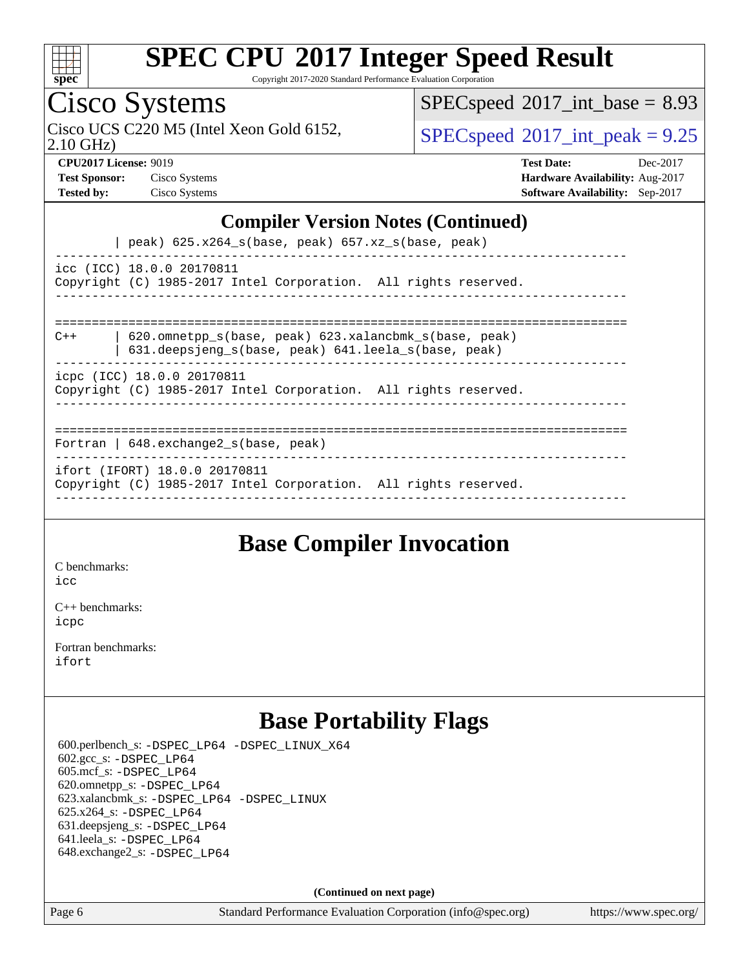

Copyright 2017-2020 Standard Performance Evaluation Corporation

## Cisco Systems

 $SPECspeed^{\circledcirc}2017\_int\_base = 8.93$  $SPECspeed^{\circledcirc}2017\_int\_base = 8.93$ 

Cisco UCS C220 M5 (Intel Xeon Gold 6152,  $SPECspeed@2017$  $SPECspeed@2017$  int peak = 9.25

2.10 GHz)

**[Test Sponsor:](http://www.spec.org/auto/cpu2017/Docs/result-fields.html#TestSponsor)** Cisco Systems **[Hardware Availability:](http://www.spec.org/auto/cpu2017/Docs/result-fields.html#HardwareAvailability)** Aug-2017

**[CPU2017 License:](http://www.spec.org/auto/cpu2017/Docs/result-fields.html#CPU2017License)** 9019 **[Test Date:](http://www.spec.org/auto/cpu2017/Docs/result-fields.html#TestDate)** Dec-2017 **[Tested by:](http://www.spec.org/auto/cpu2017/Docs/result-fields.html#Testedby)** Cisco Systems **[Software Availability:](http://www.spec.org/auto/cpu2017/Docs/result-fields.html#SoftwareAvailability)** Sep-2017

#### **[Compiler Version Notes \(Continued\)](http://www.spec.org/auto/cpu2017/Docs/result-fields.html#CompilerVersionNotes)**

| peak) 625.x264\_s(base, peak) 657.xz\_s(base, peak)

----------------------------------------------------------------------------- icc (ICC) 18.0.0 20170811 Copyright (C) 1985-2017 Intel Corporation. All rights reserved. ------------------------------------------------------------------------------

============================================================================== C++ | 620.omnetpp\_s(base, peak) 623.xalancbmk\_s(base, peak)

 | 631.deepsjeng\_s(base, peak) 641.leela\_s(base, peak) ------------------------------------------------------------------------------

icpc (ICC) 18.0.0 20170811

Copyright (C) 1985-2017 Intel Corporation. All rights reserved.

------------------------------------------------------------------------------

#### ==============================================================================

Fortran | 648.exchange2\_s(base, peak) ------------------------------------------------------------------------------

ifort (IFORT) 18.0.0 20170811

Copyright (C) 1985-2017 Intel Corporation. All rights reserved. ------------------------------------------------------------------------------

### **[Base Compiler Invocation](http://www.spec.org/auto/cpu2017/Docs/result-fields.html#BaseCompilerInvocation)**

[C benchmarks](http://www.spec.org/auto/cpu2017/Docs/result-fields.html#Cbenchmarks):  $i$ cc

[C++ benchmarks:](http://www.spec.org/auto/cpu2017/Docs/result-fields.html#CXXbenchmarks) [icpc](http://www.spec.org/cpu2017/results/res2018q1/cpu2017-20171225-02037.flags.html#user_CXXbase_intel_icpc_18.0_c510b6838c7f56d33e37e94d029a35b4a7bccf4766a728ee175e80a419847e808290a9b78be685c44ab727ea267ec2f070ec5dc83b407c0218cded6866a35d07)

[Fortran benchmarks](http://www.spec.org/auto/cpu2017/Docs/result-fields.html#Fortranbenchmarks): [ifort](http://www.spec.org/cpu2017/results/res2018q1/cpu2017-20171225-02037.flags.html#user_FCbase_intel_ifort_18.0_8111460550e3ca792625aed983ce982f94888b8b503583aa7ba2b8303487b4d8a21a13e7191a45c5fd58ff318f48f9492884d4413fa793fd88dd292cad7027ca)

### **[Base Portability Flags](http://www.spec.org/auto/cpu2017/Docs/result-fields.html#BasePortabilityFlags)**

 600.perlbench\_s: [-DSPEC\\_LP64](http://www.spec.org/cpu2017/results/res2018q1/cpu2017-20171225-02037.flags.html#b600.perlbench_s_basePORTABILITY_DSPEC_LP64) [-DSPEC\\_LINUX\\_X64](http://www.spec.org/cpu2017/results/res2018q1/cpu2017-20171225-02037.flags.html#b600.perlbench_s_baseCPORTABILITY_DSPEC_LINUX_X64) 602.gcc\_s: [-DSPEC\\_LP64](http://www.spec.org/cpu2017/results/res2018q1/cpu2017-20171225-02037.flags.html#suite_basePORTABILITY602_gcc_s_DSPEC_LP64) 605.mcf\_s: [-DSPEC\\_LP64](http://www.spec.org/cpu2017/results/res2018q1/cpu2017-20171225-02037.flags.html#suite_basePORTABILITY605_mcf_s_DSPEC_LP64) 620.omnetpp\_s: [-DSPEC\\_LP64](http://www.spec.org/cpu2017/results/res2018q1/cpu2017-20171225-02037.flags.html#suite_basePORTABILITY620_omnetpp_s_DSPEC_LP64) 623.xalancbmk\_s: [-DSPEC\\_LP64](http://www.spec.org/cpu2017/results/res2018q1/cpu2017-20171225-02037.flags.html#suite_basePORTABILITY623_xalancbmk_s_DSPEC_LP64) [-DSPEC\\_LINUX](http://www.spec.org/cpu2017/results/res2018q1/cpu2017-20171225-02037.flags.html#b623.xalancbmk_s_baseCXXPORTABILITY_DSPEC_LINUX) 625.x264\_s: [-DSPEC\\_LP64](http://www.spec.org/cpu2017/results/res2018q1/cpu2017-20171225-02037.flags.html#suite_basePORTABILITY625_x264_s_DSPEC_LP64) 631.deepsjeng\_s: [-DSPEC\\_LP64](http://www.spec.org/cpu2017/results/res2018q1/cpu2017-20171225-02037.flags.html#suite_basePORTABILITY631_deepsjeng_s_DSPEC_LP64) 641.leela\_s: [-DSPEC\\_LP64](http://www.spec.org/cpu2017/results/res2018q1/cpu2017-20171225-02037.flags.html#suite_basePORTABILITY641_leela_s_DSPEC_LP64) 648.exchange2\_s: [-DSPEC\\_LP64](http://www.spec.org/cpu2017/results/res2018q1/cpu2017-20171225-02037.flags.html#suite_basePORTABILITY648_exchange2_s_DSPEC_LP64)

**(Continued on next page)**

Page 6 Standard Performance Evaluation Corporation [\(info@spec.org\)](mailto:info@spec.org) <https://www.spec.org/>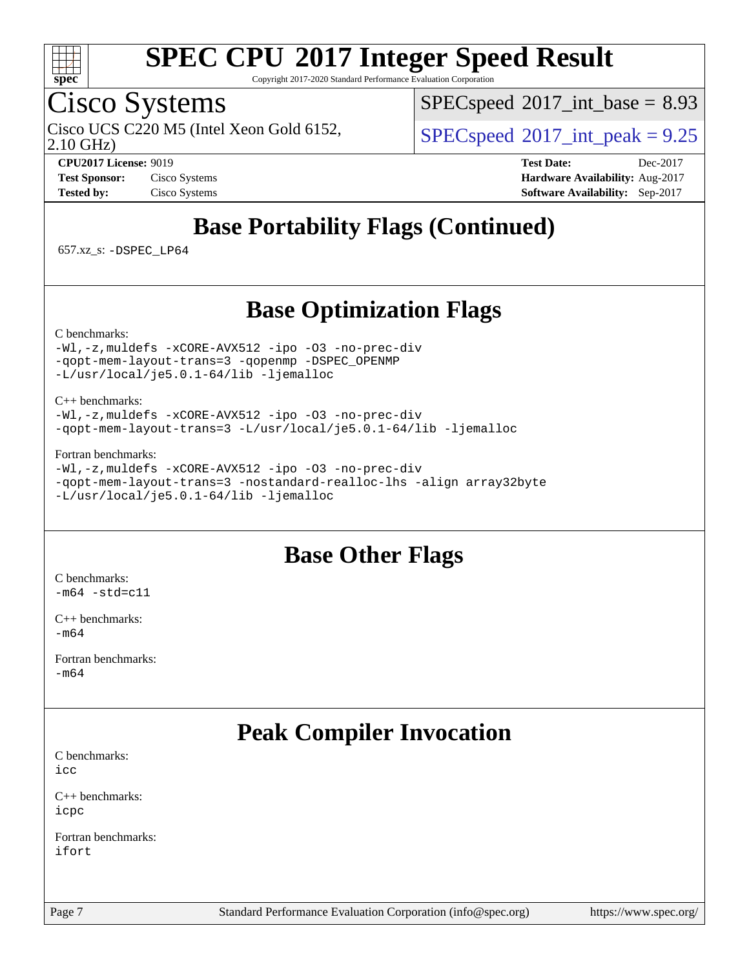

Copyright 2017-2020 Standard Performance Evaluation Corporation

### Cisco Systems

 $SPEC speed$ <sup>®</sup> $2017$ \_int\_base = 8.93

Cisco UCS C220 M5 (Intel Xeon Gold 6152,  $SPECspeed@2017$  $SPECspeed@2017$  int peak = 9.25

2.10 GHz)

**[CPU2017 License:](http://www.spec.org/auto/cpu2017/Docs/result-fields.html#CPU2017License)** 9019 **[Test Date:](http://www.spec.org/auto/cpu2017/Docs/result-fields.html#TestDate)** Dec-2017 **[Test Sponsor:](http://www.spec.org/auto/cpu2017/Docs/result-fields.html#TestSponsor)** Cisco Systems **[Hardware Availability:](http://www.spec.org/auto/cpu2017/Docs/result-fields.html#HardwareAvailability)** Aug-2017 **[Tested by:](http://www.spec.org/auto/cpu2017/Docs/result-fields.html#Testedby)** Cisco Systems **[Software Availability:](http://www.spec.org/auto/cpu2017/Docs/result-fields.html#SoftwareAvailability)** Sep-2017

## **[Base Portability Flags \(Continued\)](http://www.spec.org/auto/cpu2017/Docs/result-fields.html#BasePortabilityFlags)**

657.xz\_s: [-DSPEC\\_LP64](http://www.spec.org/cpu2017/results/res2018q1/cpu2017-20171225-02037.flags.html#suite_basePORTABILITY657_xz_s_DSPEC_LP64)

### **[Base Optimization Flags](http://www.spec.org/auto/cpu2017/Docs/result-fields.html#BaseOptimizationFlags)**

[C benchmarks](http://www.spec.org/auto/cpu2017/Docs/result-fields.html#Cbenchmarks):

[-Wl,-z,muldefs](http://www.spec.org/cpu2017/results/res2018q1/cpu2017-20171225-02037.flags.html#user_CCbase_link_force_multiple1_b4cbdb97b34bdee9ceefcfe54f4c8ea74255f0b02a4b23e853cdb0e18eb4525ac79b5a88067c842dd0ee6996c24547a27a4b99331201badda8798ef8a743f577) [-xCORE-AVX512](http://www.spec.org/cpu2017/results/res2018q1/cpu2017-20171225-02037.flags.html#user_CCbase_f-xCORE-AVX512) [-ipo](http://www.spec.org/cpu2017/results/res2018q1/cpu2017-20171225-02037.flags.html#user_CCbase_f-ipo) [-O3](http://www.spec.org/cpu2017/results/res2018q1/cpu2017-20171225-02037.flags.html#user_CCbase_f-O3) [-no-prec-div](http://www.spec.org/cpu2017/results/res2018q1/cpu2017-20171225-02037.flags.html#user_CCbase_f-no-prec-div) [-qopt-mem-layout-trans=3](http://www.spec.org/cpu2017/results/res2018q1/cpu2017-20171225-02037.flags.html#user_CCbase_f-qopt-mem-layout-trans_de80db37974c74b1f0e20d883f0b675c88c3b01e9d123adea9b28688d64333345fb62bc4a798493513fdb68f60282f9a726aa07f478b2f7113531aecce732043) [-qopenmp](http://www.spec.org/cpu2017/results/res2018q1/cpu2017-20171225-02037.flags.html#user_CCbase_qopenmp_16be0c44f24f464004c6784a7acb94aca937f053568ce72f94b139a11c7c168634a55f6653758ddd83bcf7b8463e8028bb0b48b77bcddc6b78d5d95bb1df2967) [-DSPEC\\_OPENMP](http://www.spec.org/cpu2017/results/res2018q1/cpu2017-20171225-02037.flags.html#suite_CCbase_DSPEC_OPENMP) [-L/usr/local/je5.0.1-64/lib](http://www.spec.org/cpu2017/results/res2018q1/cpu2017-20171225-02037.flags.html#user_CCbase_jemalloc_link_path64_4b10a636b7bce113509b17f3bd0d6226c5fb2346b9178c2d0232c14f04ab830f976640479e5c33dc2bcbbdad86ecfb6634cbbd4418746f06f368b512fced5394) [-ljemalloc](http://www.spec.org/cpu2017/results/res2018q1/cpu2017-20171225-02037.flags.html#user_CCbase_jemalloc_link_lib_d1249b907c500fa1c0672f44f562e3d0f79738ae9e3c4a9c376d49f265a04b9c99b167ecedbf6711b3085be911c67ff61f150a17b3472be731631ba4d0471706)

[C++ benchmarks:](http://www.spec.org/auto/cpu2017/Docs/result-fields.html#CXXbenchmarks)

[-Wl,-z,muldefs](http://www.spec.org/cpu2017/results/res2018q1/cpu2017-20171225-02037.flags.html#user_CXXbase_link_force_multiple1_b4cbdb97b34bdee9ceefcfe54f4c8ea74255f0b02a4b23e853cdb0e18eb4525ac79b5a88067c842dd0ee6996c24547a27a4b99331201badda8798ef8a743f577) [-xCORE-AVX512](http://www.spec.org/cpu2017/results/res2018q1/cpu2017-20171225-02037.flags.html#user_CXXbase_f-xCORE-AVX512) [-ipo](http://www.spec.org/cpu2017/results/res2018q1/cpu2017-20171225-02037.flags.html#user_CXXbase_f-ipo) [-O3](http://www.spec.org/cpu2017/results/res2018q1/cpu2017-20171225-02037.flags.html#user_CXXbase_f-O3) [-no-prec-div](http://www.spec.org/cpu2017/results/res2018q1/cpu2017-20171225-02037.flags.html#user_CXXbase_f-no-prec-div) [-qopt-mem-layout-trans=3](http://www.spec.org/cpu2017/results/res2018q1/cpu2017-20171225-02037.flags.html#user_CXXbase_f-qopt-mem-layout-trans_de80db37974c74b1f0e20d883f0b675c88c3b01e9d123adea9b28688d64333345fb62bc4a798493513fdb68f60282f9a726aa07f478b2f7113531aecce732043) [-L/usr/local/je5.0.1-64/lib](http://www.spec.org/cpu2017/results/res2018q1/cpu2017-20171225-02037.flags.html#user_CXXbase_jemalloc_link_path64_4b10a636b7bce113509b17f3bd0d6226c5fb2346b9178c2d0232c14f04ab830f976640479e5c33dc2bcbbdad86ecfb6634cbbd4418746f06f368b512fced5394) [-ljemalloc](http://www.spec.org/cpu2017/results/res2018q1/cpu2017-20171225-02037.flags.html#user_CXXbase_jemalloc_link_lib_d1249b907c500fa1c0672f44f562e3d0f79738ae9e3c4a9c376d49f265a04b9c99b167ecedbf6711b3085be911c67ff61f150a17b3472be731631ba4d0471706)

[Fortran benchmarks](http://www.spec.org/auto/cpu2017/Docs/result-fields.html#Fortranbenchmarks):

[-Wl,-z,muldefs](http://www.spec.org/cpu2017/results/res2018q1/cpu2017-20171225-02037.flags.html#user_FCbase_link_force_multiple1_b4cbdb97b34bdee9ceefcfe54f4c8ea74255f0b02a4b23e853cdb0e18eb4525ac79b5a88067c842dd0ee6996c24547a27a4b99331201badda8798ef8a743f577) [-xCORE-AVX512](http://www.spec.org/cpu2017/results/res2018q1/cpu2017-20171225-02037.flags.html#user_FCbase_f-xCORE-AVX512) [-ipo](http://www.spec.org/cpu2017/results/res2018q1/cpu2017-20171225-02037.flags.html#user_FCbase_f-ipo) [-O3](http://www.spec.org/cpu2017/results/res2018q1/cpu2017-20171225-02037.flags.html#user_FCbase_f-O3) [-no-prec-div](http://www.spec.org/cpu2017/results/res2018q1/cpu2017-20171225-02037.flags.html#user_FCbase_f-no-prec-div) [-qopt-mem-layout-trans=3](http://www.spec.org/cpu2017/results/res2018q1/cpu2017-20171225-02037.flags.html#user_FCbase_f-qopt-mem-layout-trans_de80db37974c74b1f0e20d883f0b675c88c3b01e9d123adea9b28688d64333345fb62bc4a798493513fdb68f60282f9a726aa07f478b2f7113531aecce732043) [-nostandard-realloc-lhs](http://www.spec.org/cpu2017/results/res2018q1/cpu2017-20171225-02037.flags.html#user_FCbase_f_2003_std_realloc_82b4557e90729c0f113870c07e44d33d6f5a304b4f63d4c15d2d0f1fab99f5daaed73bdb9275d9ae411527f28b936061aa8b9c8f2d63842963b95c9dd6426b8a) [-align array32byte](http://www.spec.org/cpu2017/results/res2018q1/cpu2017-20171225-02037.flags.html#user_FCbase_align_array32byte_b982fe038af199962ba9a80c053b8342c548c85b40b8e86eb3cc33dee0d7986a4af373ac2d51c3f7cf710a18d62fdce2948f201cd044323541f22fc0fffc51b6) [-L/usr/local/je5.0.1-64/lib](http://www.spec.org/cpu2017/results/res2018q1/cpu2017-20171225-02037.flags.html#user_FCbase_jemalloc_link_path64_4b10a636b7bce113509b17f3bd0d6226c5fb2346b9178c2d0232c14f04ab830f976640479e5c33dc2bcbbdad86ecfb6634cbbd4418746f06f368b512fced5394) [-ljemalloc](http://www.spec.org/cpu2017/results/res2018q1/cpu2017-20171225-02037.flags.html#user_FCbase_jemalloc_link_lib_d1249b907c500fa1c0672f44f562e3d0f79738ae9e3c4a9c376d49f265a04b9c99b167ecedbf6711b3085be911c67ff61f150a17b3472be731631ba4d0471706)

### **[Base Other Flags](http://www.spec.org/auto/cpu2017/Docs/result-fields.html#BaseOtherFlags)**

[C benchmarks](http://www.spec.org/auto/cpu2017/Docs/result-fields.html#Cbenchmarks):  $-m64 - std= c11$  $-m64 - std= c11$ 

[C++ benchmarks:](http://www.spec.org/auto/cpu2017/Docs/result-fields.html#CXXbenchmarks) [-m64](http://www.spec.org/cpu2017/results/res2018q1/cpu2017-20171225-02037.flags.html#user_CXXbase_intel_intel64_18.0_af43caccfc8ded86e7699f2159af6efc7655f51387b94da716254467f3c01020a5059329e2569e4053f409e7c9202a7efc638f7a6d1ffb3f52dea4a3e31d82ab)

[Fortran benchmarks](http://www.spec.org/auto/cpu2017/Docs/result-fields.html#Fortranbenchmarks): [-m64](http://www.spec.org/cpu2017/results/res2018q1/cpu2017-20171225-02037.flags.html#user_FCbase_intel_intel64_18.0_af43caccfc8ded86e7699f2159af6efc7655f51387b94da716254467f3c01020a5059329e2569e4053f409e7c9202a7efc638f7a6d1ffb3f52dea4a3e31d82ab)

### **[Peak Compiler Invocation](http://www.spec.org/auto/cpu2017/Docs/result-fields.html#PeakCompilerInvocation)**

| C benchmarks: |  |
|---------------|--|
| icc           |  |

[C++ benchmarks:](http://www.spec.org/auto/cpu2017/Docs/result-fields.html#CXXbenchmarks) [icpc](http://www.spec.org/cpu2017/results/res2018q1/cpu2017-20171225-02037.flags.html#user_CXXpeak_intel_icpc_18.0_c510b6838c7f56d33e37e94d029a35b4a7bccf4766a728ee175e80a419847e808290a9b78be685c44ab727ea267ec2f070ec5dc83b407c0218cded6866a35d07)

[Fortran benchmarks](http://www.spec.org/auto/cpu2017/Docs/result-fields.html#Fortranbenchmarks): [ifort](http://www.spec.org/cpu2017/results/res2018q1/cpu2017-20171225-02037.flags.html#user_FCpeak_intel_ifort_18.0_8111460550e3ca792625aed983ce982f94888b8b503583aa7ba2b8303487b4d8a21a13e7191a45c5fd58ff318f48f9492884d4413fa793fd88dd292cad7027ca)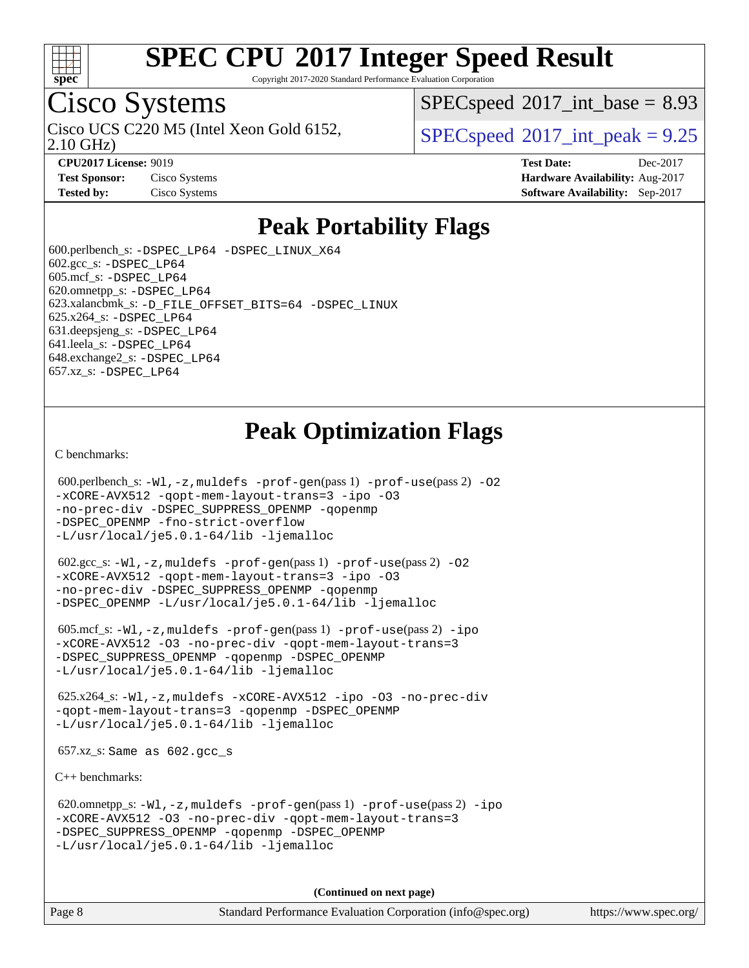

Copyright 2017-2020 Standard Performance Evaluation Corporation

### Cisco Systems

2.10 GHz) Cisco UCS C220 M5 (Intel Xeon Gold 6152,  $SPECspeed@2017$  $SPECspeed@2017$  int peak = 9.25

 $SPECspeed^{\circ}2017\_int\_base = 8.93$  $SPECspeed^{\circ}2017\_int\_base = 8.93$ 

**[Test Sponsor:](http://www.spec.org/auto/cpu2017/Docs/result-fields.html#TestSponsor)** Cisco Systems **[Hardware Availability:](http://www.spec.org/auto/cpu2017/Docs/result-fields.html#HardwareAvailability)** Aug-2017

**[CPU2017 License:](http://www.spec.org/auto/cpu2017/Docs/result-fields.html#CPU2017License)** 9019 **[Test Date:](http://www.spec.org/auto/cpu2017/Docs/result-fields.html#TestDate)** Dec-2017 **[Tested by:](http://www.spec.org/auto/cpu2017/Docs/result-fields.html#Testedby)** Cisco Systems **[Software Availability:](http://www.spec.org/auto/cpu2017/Docs/result-fields.html#SoftwareAvailability)** Sep-2017

### **[Peak Portability Flags](http://www.spec.org/auto/cpu2017/Docs/result-fields.html#PeakPortabilityFlags)**

 600.perlbench\_s: [-DSPEC\\_LP64](http://www.spec.org/cpu2017/results/res2018q1/cpu2017-20171225-02037.flags.html#b600.perlbench_s_peakPORTABILITY_DSPEC_LP64) [-DSPEC\\_LINUX\\_X64](http://www.spec.org/cpu2017/results/res2018q1/cpu2017-20171225-02037.flags.html#b600.perlbench_s_peakCPORTABILITY_DSPEC_LINUX_X64)  $602.\text{gcc}\$ : -DSPEC LP64 605.mcf\_s: [-DSPEC\\_LP64](http://www.spec.org/cpu2017/results/res2018q1/cpu2017-20171225-02037.flags.html#suite_peakPORTABILITY605_mcf_s_DSPEC_LP64) 620.omnetpp\_s: [-DSPEC\\_LP64](http://www.spec.org/cpu2017/results/res2018q1/cpu2017-20171225-02037.flags.html#suite_peakPORTABILITY620_omnetpp_s_DSPEC_LP64) 623.xalancbmk\_s: [-D\\_FILE\\_OFFSET\\_BITS=64](http://www.spec.org/cpu2017/results/res2018q1/cpu2017-20171225-02037.flags.html#user_peakPORTABILITY623_xalancbmk_s_file_offset_bits_64_5ae949a99b284ddf4e95728d47cb0843d81b2eb0e18bdfe74bbf0f61d0b064f4bda2f10ea5eb90e1dcab0e84dbc592acfc5018bc955c18609f94ddb8d550002c) [-DSPEC\\_LINUX](http://www.spec.org/cpu2017/results/res2018q1/cpu2017-20171225-02037.flags.html#b623.xalancbmk_s_peakCXXPORTABILITY_DSPEC_LINUX) 625.x264\_s: [-DSPEC\\_LP64](http://www.spec.org/cpu2017/results/res2018q1/cpu2017-20171225-02037.flags.html#suite_peakPORTABILITY625_x264_s_DSPEC_LP64) 631.deepsjeng\_s: [-DSPEC\\_LP64](http://www.spec.org/cpu2017/results/res2018q1/cpu2017-20171225-02037.flags.html#suite_peakPORTABILITY631_deepsjeng_s_DSPEC_LP64) 641.leela\_s: [-DSPEC\\_LP64](http://www.spec.org/cpu2017/results/res2018q1/cpu2017-20171225-02037.flags.html#suite_peakPORTABILITY641_leela_s_DSPEC_LP64) 648.exchange2\_s: [-DSPEC\\_LP64](http://www.spec.org/cpu2017/results/res2018q1/cpu2017-20171225-02037.flags.html#suite_peakPORTABILITY648_exchange2_s_DSPEC_LP64) 657.xz\_s: [-DSPEC\\_LP64](http://www.spec.org/cpu2017/results/res2018q1/cpu2017-20171225-02037.flags.html#suite_peakPORTABILITY657_xz_s_DSPEC_LP64)

### **[Peak Optimization Flags](http://www.spec.org/auto/cpu2017/Docs/result-fields.html#PeakOptimizationFlags)**

[C benchmarks](http://www.spec.org/auto/cpu2017/Docs/result-fields.html#Cbenchmarks):

600.perlbench\_s:  $-W1$ , -z, muldefs [-prof-gen](http://www.spec.org/cpu2017/results/res2018q1/cpu2017-20171225-02037.flags.html#user_peakPASS1_CFLAGSPASS1_LDFLAGS600_perlbench_s_prof_gen_5aa4926d6013ddb2a31985c654b3eb18169fc0c6952a63635c234f711e6e63dd76e94ad52365559451ec499a2cdb89e4dc58ba4c67ef54ca681ffbe1461d6b36)(pass 1) [-prof-use](http://www.spec.org/cpu2017/results/res2018q1/cpu2017-20171225-02037.flags.html#user_peakPASS2_CFLAGSPASS2_LDFLAGS600_perlbench_s_prof_use_1a21ceae95f36a2b53c25747139a6c16ca95bd9def2a207b4f0849963b97e94f5260e30a0c64f4bb623698870e679ca08317ef8150905d41bd88c6f78df73f19)(pass 2) -02 [-xCORE-AVX512](http://www.spec.org/cpu2017/results/res2018q1/cpu2017-20171225-02037.flags.html#user_peakPASS2_COPTIMIZE600_perlbench_s_f-xCORE-AVX512) [-qopt-mem-layout-trans=3](http://www.spec.org/cpu2017/results/res2018q1/cpu2017-20171225-02037.flags.html#user_peakPASS1_COPTIMIZEPASS2_COPTIMIZE600_perlbench_s_f-qopt-mem-layout-trans_de80db37974c74b1f0e20d883f0b675c88c3b01e9d123adea9b28688d64333345fb62bc4a798493513fdb68f60282f9a726aa07f478b2f7113531aecce732043) [-ipo](http://www.spec.org/cpu2017/results/res2018q1/cpu2017-20171225-02037.flags.html#user_peakPASS2_COPTIMIZE600_perlbench_s_f-ipo) [-O3](http://www.spec.org/cpu2017/results/res2018q1/cpu2017-20171225-02037.flags.html#user_peakPASS2_COPTIMIZE600_perlbench_s_f-O3) [-no-prec-div](http://www.spec.org/cpu2017/results/res2018q1/cpu2017-20171225-02037.flags.html#user_peakPASS2_COPTIMIZE600_perlbench_s_f-no-prec-div) [-DSPEC\\_SUPPRESS\\_OPENMP](http://www.spec.org/cpu2017/results/res2018q1/cpu2017-20171225-02037.flags.html#suite_peakPASS1_COPTIMIZE600_perlbench_s_DSPEC_SUPPRESS_OPENMP) [-qopenmp](http://www.spec.org/cpu2017/results/res2018q1/cpu2017-20171225-02037.flags.html#user_peakPASS2_COPTIMIZE600_perlbench_s_qopenmp_16be0c44f24f464004c6784a7acb94aca937f053568ce72f94b139a11c7c168634a55f6653758ddd83bcf7b8463e8028bb0b48b77bcddc6b78d5d95bb1df2967) [-DSPEC\\_OPENMP](http://www.spec.org/cpu2017/results/res2018q1/cpu2017-20171225-02037.flags.html#suite_peakPASS2_COPTIMIZE600_perlbench_s_DSPEC_OPENMP) [-fno-strict-overflow](http://www.spec.org/cpu2017/results/res2018q1/cpu2017-20171225-02037.flags.html#user_peakEXTRA_OPTIMIZE600_perlbench_s_f-fno-strict-overflow) [-L/usr/local/je5.0.1-64/lib](http://www.spec.org/cpu2017/results/res2018q1/cpu2017-20171225-02037.flags.html#user_peakEXTRA_LIBS600_perlbench_s_jemalloc_link_path64_4b10a636b7bce113509b17f3bd0d6226c5fb2346b9178c2d0232c14f04ab830f976640479e5c33dc2bcbbdad86ecfb6634cbbd4418746f06f368b512fced5394) [-ljemalloc](http://www.spec.org/cpu2017/results/res2018q1/cpu2017-20171225-02037.flags.html#user_peakEXTRA_LIBS600_perlbench_s_jemalloc_link_lib_d1249b907c500fa1c0672f44f562e3d0f79738ae9e3c4a9c376d49f265a04b9c99b167ecedbf6711b3085be911c67ff61f150a17b3472be731631ba4d0471706)

 602.gcc\_s: [-Wl,-z,muldefs](http://www.spec.org/cpu2017/results/res2018q1/cpu2017-20171225-02037.flags.html#user_peakEXTRA_LDFLAGS602_gcc_s_link_force_multiple1_b4cbdb97b34bdee9ceefcfe54f4c8ea74255f0b02a4b23e853cdb0e18eb4525ac79b5a88067c842dd0ee6996c24547a27a4b99331201badda8798ef8a743f577) [-prof-gen](http://www.spec.org/cpu2017/results/res2018q1/cpu2017-20171225-02037.flags.html#user_peakPASS1_CFLAGSPASS1_LDFLAGS602_gcc_s_prof_gen_5aa4926d6013ddb2a31985c654b3eb18169fc0c6952a63635c234f711e6e63dd76e94ad52365559451ec499a2cdb89e4dc58ba4c67ef54ca681ffbe1461d6b36)(pass 1) [-prof-use](http://www.spec.org/cpu2017/results/res2018q1/cpu2017-20171225-02037.flags.html#user_peakPASS2_CFLAGSPASS2_LDFLAGS602_gcc_s_prof_use_1a21ceae95f36a2b53c25747139a6c16ca95bd9def2a207b4f0849963b97e94f5260e30a0c64f4bb623698870e679ca08317ef8150905d41bd88c6f78df73f19)(pass 2) [-O2](http://www.spec.org/cpu2017/results/res2018q1/cpu2017-20171225-02037.flags.html#user_peakPASS1_COPTIMIZE602_gcc_s_f-O2) [-xCORE-AVX512](http://www.spec.org/cpu2017/results/res2018q1/cpu2017-20171225-02037.flags.html#user_peakPASS2_COPTIMIZE602_gcc_s_f-xCORE-AVX512) [-qopt-mem-layout-trans=3](http://www.spec.org/cpu2017/results/res2018q1/cpu2017-20171225-02037.flags.html#user_peakPASS1_COPTIMIZEPASS2_COPTIMIZE602_gcc_s_f-qopt-mem-layout-trans_de80db37974c74b1f0e20d883f0b675c88c3b01e9d123adea9b28688d64333345fb62bc4a798493513fdb68f60282f9a726aa07f478b2f7113531aecce732043) [-ipo](http://www.spec.org/cpu2017/results/res2018q1/cpu2017-20171225-02037.flags.html#user_peakPASS2_COPTIMIZE602_gcc_s_f-ipo) [-O3](http://www.spec.org/cpu2017/results/res2018q1/cpu2017-20171225-02037.flags.html#user_peakPASS2_COPTIMIZE602_gcc_s_f-O3) [-no-prec-div](http://www.spec.org/cpu2017/results/res2018q1/cpu2017-20171225-02037.flags.html#user_peakPASS2_COPTIMIZE602_gcc_s_f-no-prec-div) [-DSPEC\\_SUPPRESS\\_OPENMP](http://www.spec.org/cpu2017/results/res2018q1/cpu2017-20171225-02037.flags.html#suite_peakPASS1_COPTIMIZE602_gcc_s_DSPEC_SUPPRESS_OPENMP) [-qopenmp](http://www.spec.org/cpu2017/results/res2018q1/cpu2017-20171225-02037.flags.html#user_peakPASS2_COPTIMIZE602_gcc_s_qopenmp_16be0c44f24f464004c6784a7acb94aca937f053568ce72f94b139a11c7c168634a55f6653758ddd83bcf7b8463e8028bb0b48b77bcddc6b78d5d95bb1df2967) [-DSPEC\\_OPENMP](http://www.spec.org/cpu2017/results/res2018q1/cpu2017-20171225-02037.flags.html#suite_peakPASS2_COPTIMIZE602_gcc_s_DSPEC_OPENMP) [-L/usr/local/je5.0.1-64/lib](http://www.spec.org/cpu2017/results/res2018q1/cpu2017-20171225-02037.flags.html#user_peakEXTRA_LIBS602_gcc_s_jemalloc_link_path64_4b10a636b7bce113509b17f3bd0d6226c5fb2346b9178c2d0232c14f04ab830f976640479e5c33dc2bcbbdad86ecfb6634cbbd4418746f06f368b512fced5394) [-ljemalloc](http://www.spec.org/cpu2017/results/res2018q1/cpu2017-20171225-02037.flags.html#user_peakEXTRA_LIBS602_gcc_s_jemalloc_link_lib_d1249b907c500fa1c0672f44f562e3d0f79738ae9e3c4a9c376d49f265a04b9c99b167ecedbf6711b3085be911c67ff61f150a17b3472be731631ba4d0471706)

 605.mcf\_s: [-Wl,-z,muldefs](http://www.spec.org/cpu2017/results/res2018q1/cpu2017-20171225-02037.flags.html#user_peakEXTRA_LDFLAGS605_mcf_s_link_force_multiple1_b4cbdb97b34bdee9ceefcfe54f4c8ea74255f0b02a4b23e853cdb0e18eb4525ac79b5a88067c842dd0ee6996c24547a27a4b99331201badda8798ef8a743f577) [-prof-gen](http://www.spec.org/cpu2017/results/res2018q1/cpu2017-20171225-02037.flags.html#user_peakPASS1_CFLAGSPASS1_LDFLAGS605_mcf_s_prof_gen_5aa4926d6013ddb2a31985c654b3eb18169fc0c6952a63635c234f711e6e63dd76e94ad52365559451ec499a2cdb89e4dc58ba4c67ef54ca681ffbe1461d6b36)(pass 1) [-prof-use](http://www.spec.org/cpu2017/results/res2018q1/cpu2017-20171225-02037.flags.html#user_peakPASS2_CFLAGSPASS2_LDFLAGS605_mcf_s_prof_use_1a21ceae95f36a2b53c25747139a6c16ca95bd9def2a207b4f0849963b97e94f5260e30a0c64f4bb623698870e679ca08317ef8150905d41bd88c6f78df73f19)(pass 2) [-ipo](http://www.spec.org/cpu2017/results/res2018q1/cpu2017-20171225-02037.flags.html#user_peakPASS1_COPTIMIZEPASS2_COPTIMIZE605_mcf_s_f-ipo) [-xCORE-AVX512](http://www.spec.org/cpu2017/results/res2018q1/cpu2017-20171225-02037.flags.html#user_peakPASS2_COPTIMIZE605_mcf_s_f-xCORE-AVX512) [-O3](http://www.spec.org/cpu2017/results/res2018q1/cpu2017-20171225-02037.flags.html#user_peakPASS1_COPTIMIZEPASS2_COPTIMIZE605_mcf_s_f-O3) [-no-prec-div](http://www.spec.org/cpu2017/results/res2018q1/cpu2017-20171225-02037.flags.html#user_peakPASS1_COPTIMIZEPASS2_COPTIMIZE605_mcf_s_f-no-prec-div) [-qopt-mem-layout-trans=3](http://www.spec.org/cpu2017/results/res2018q1/cpu2017-20171225-02037.flags.html#user_peakPASS1_COPTIMIZEPASS2_COPTIMIZE605_mcf_s_f-qopt-mem-layout-trans_de80db37974c74b1f0e20d883f0b675c88c3b01e9d123adea9b28688d64333345fb62bc4a798493513fdb68f60282f9a726aa07f478b2f7113531aecce732043) [-DSPEC\\_SUPPRESS\\_OPENMP](http://www.spec.org/cpu2017/results/res2018q1/cpu2017-20171225-02037.flags.html#suite_peakPASS1_COPTIMIZE605_mcf_s_DSPEC_SUPPRESS_OPENMP) [-qopenmp](http://www.spec.org/cpu2017/results/res2018q1/cpu2017-20171225-02037.flags.html#user_peakPASS2_COPTIMIZE605_mcf_s_qopenmp_16be0c44f24f464004c6784a7acb94aca937f053568ce72f94b139a11c7c168634a55f6653758ddd83bcf7b8463e8028bb0b48b77bcddc6b78d5d95bb1df2967) [-DSPEC\\_OPENMP](http://www.spec.org/cpu2017/results/res2018q1/cpu2017-20171225-02037.flags.html#suite_peakPASS2_COPTIMIZE605_mcf_s_DSPEC_OPENMP) [-L/usr/local/je5.0.1-64/lib](http://www.spec.org/cpu2017/results/res2018q1/cpu2017-20171225-02037.flags.html#user_peakEXTRA_LIBS605_mcf_s_jemalloc_link_path64_4b10a636b7bce113509b17f3bd0d6226c5fb2346b9178c2d0232c14f04ab830f976640479e5c33dc2bcbbdad86ecfb6634cbbd4418746f06f368b512fced5394) [-ljemalloc](http://www.spec.org/cpu2017/results/res2018q1/cpu2017-20171225-02037.flags.html#user_peakEXTRA_LIBS605_mcf_s_jemalloc_link_lib_d1249b907c500fa1c0672f44f562e3d0f79738ae9e3c4a9c376d49f265a04b9c99b167ecedbf6711b3085be911c67ff61f150a17b3472be731631ba4d0471706)

 625.x264\_s: [-Wl,-z,muldefs](http://www.spec.org/cpu2017/results/res2018q1/cpu2017-20171225-02037.flags.html#user_peakEXTRA_LDFLAGS625_x264_s_link_force_multiple1_b4cbdb97b34bdee9ceefcfe54f4c8ea74255f0b02a4b23e853cdb0e18eb4525ac79b5a88067c842dd0ee6996c24547a27a4b99331201badda8798ef8a743f577) [-xCORE-AVX512](http://www.spec.org/cpu2017/results/res2018q1/cpu2017-20171225-02037.flags.html#user_peakCOPTIMIZE625_x264_s_f-xCORE-AVX512) [-ipo](http://www.spec.org/cpu2017/results/res2018q1/cpu2017-20171225-02037.flags.html#user_peakCOPTIMIZE625_x264_s_f-ipo) [-O3](http://www.spec.org/cpu2017/results/res2018q1/cpu2017-20171225-02037.flags.html#user_peakCOPTIMIZE625_x264_s_f-O3) [-no-prec-div](http://www.spec.org/cpu2017/results/res2018q1/cpu2017-20171225-02037.flags.html#user_peakCOPTIMIZE625_x264_s_f-no-prec-div) [-qopt-mem-layout-trans=3](http://www.spec.org/cpu2017/results/res2018q1/cpu2017-20171225-02037.flags.html#user_peakCOPTIMIZE625_x264_s_f-qopt-mem-layout-trans_de80db37974c74b1f0e20d883f0b675c88c3b01e9d123adea9b28688d64333345fb62bc4a798493513fdb68f60282f9a726aa07f478b2f7113531aecce732043) [-qopenmp](http://www.spec.org/cpu2017/results/res2018q1/cpu2017-20171225-02037.flags.html#user_peakCOPTIMIZE625_x264_s_qopenmp_16be0c44f24f464004c6784a7acb94aca937f053568ce72f94b139a11c7c168634a55f6653758ddd83bcf7b8463e8028bb0b48b77bcddc6b78d5d95bb1df2967) [-DSPEC\\_OPENMP](http://www.spec.org/cpu2017/results/res2018q1/cpu2017-20171225-02037.flags.html#suite_peakCOPTIMIZE625_x264_s_DSPEC_OPENMP) [-L/usr/local/je5.0.1-64/lib](http://www.spec.org/cpu2017/results/res2018q1/cpu2017-20171225-02037.flags.html#user_peakEXTRA_LIBS625_x264_s_jemalloc_link_path64_4b10a636b7bce113509b17f3bd0d6226c5fb2346b9178c2d0232c14f04ab830f976640479e5c33dc2bcbbdad86ecfb6634cbbd4418746f06f368b512fced5394) [-ljemalloc](http://www.spec.org/cpu2017/results/res2018q1/cpu2017-20171225-02037.flags.html#user_peakEXTRA_LIBS625_x264_s_jemalloc_link_lib_d1249b907c500fa1c0672f44f562e3d0f79738ae9e3c4a9c376d49f265a04b9c99b167ecedbf6711b3085be911c67ff61f150a17b3472be731631ba4d0471706)

657.xz\_s: Same as 602.gcc\_s

[C++ benchmarks:](http://www.spec.org/auto/cpu2017/Docs/result-fields.html#CXXbenchmarks)

 620.omnetpp\_s: [-Wl,-z,muldefs](http://www.spec.org/cpu2017/results/res2018q1/cpu2017-20171225-02037.flags.html#user_peakEXTRA_LDFLAGS620_omnetpp_s_link_force_multiple1_b4cbdb97b34bdee9ceefcfe54f4c8ea74255f0b02a4b23e853cdb0e18eb4525ac79b5a88067c842dd0ee6996c24547a27a4b99331201badda8798ef8a743f577) [-prof-gen](http://www.spec.org/cpu2017/results/res2018q1/cpu2017-20171225-02037.flags.html#user_peakPASS1_CXXFLAGSPASS1_LDFLAGS620_omnetpp_s_prof_gen_5aa4926d6013ddb2a31985c654b3eb18169fc0c6952a63635c234f711e6e63dd76e94ad52365559451ec499a2cdb89e4dc58ba4c67ef54ca681ffbe1461d6b36)(pass 1) [-prof-use](http://www.spec.org/cpu2017/results/res2018q1/cpu2017-20171225-02037.flags.html#user_peakPASS2_CXXFLAGSPASS2_LDFLAGS620_omnetpp_s_prof_use_1a21ceae95f36a2b53c25747139a6c16ca95bd9def2a207b4f0849963b97e94f5260e30a0c64f4bb623698870e679ca08317ef8150905d41bd88c6f78df73f19)(pass 2) [-ipo](http://www.spec.org/cpu2017/results/res2018q1/cpu2017-20171225-02037.flags.html#user_peakPASS1_CXXOPTIMIZEPASS2_CXXOPTIMIZE620_omnetpp_s_f-ipo) [-xCORE-AVX512](http://www.spec.org/cpu2017/results/res2018q1/cpu2017-20171225-02037.flags.html#user_peakPASS2_CXXOPTIMIZE620_omnetpp_s_f-xCORE-AVX512) [-O3](http://www.spec.org/cpu2017/results/res2018q1/cpu2017-20171225-02037.flags.html#user_peakPASS1_CXXOPTIMIZEPASS2_CXXOPTIMIZE620_omnetpp_s_f-O3) [-no-prec-div](http://www.spec.org/cpu2017/results/res2018q1/cpu2017-20171225-02037.flags.html#user_peakPASS1_CXXOPTIMIZEPASS2_CXXOPTIMIZE620_omnetpp_s_f-no-prec-div) [-qopt-mem-layout-trans=3](http://www.spec.org/cpu2017/results/res2018q1/cpu2017-20171225-02037.flags.html#user_peakPASS1_CXXOPTIMIZEPASS2_CXXOPTIMIZE620_omnetpp_s_f-qopt-mem-layout-trans_de80db37974c74b1f0e20d883f0b675c88c3b01e9d123adea9b28688d64333345fb62bc4a798493513fdb68f60282f9a726aa07f478b2f7113531aecce732043) [-DSPEC\\_SUPPRESS\\_OPENMP](http://www.spec.org/cpu2017/results/res2018q1/cpu2017-20171225-02037.flags.html#suite_peakPASS1_CXXOPTIMIZE620_omnetpp_s_DSPEC_SUPPRESS_OPENMP) [-qopenmp](http://www.spec.org/cpu2017/results/res2018q1/cpu2017-20171225-02037.flags.html#user_peakPASS2_CXXOPTIMIZE620_omnetpp_s_qopenmp_16be0c44f24f464004c6784a7acb94aca937f053568ce72f94b139a11c7c168634a55f6653758ddd83bcf7b8463e8028bb0b48b77bcddc6b78d5d95bb1df2967) [-DSPEC\\_OPENMP](http://www.spec.org/cpu2017/results/res2018q1/cpu2017-20171225-02037.flags.html#suite_peakPASS2_CXXOPTIMIZE620_omnetpp_s_DSPEC_OPENMP) [-L/usr/local/je5.0.1-64/lib](http://www.spec.org/cpu2017/results/res2018q1/cpu2017-20171225-02037.flags.html#user_peakEXTRA_LIBS620_omnetpp_s_jemalloc_link_path64_4b10a636b7bce113509b17f3bd0d6226c5fb2346b9178c2d0232c14f04ab830f976640479e5c33dc2bcbbdad86ecfb6634cbbd4418746f06f368b512fced5394) [-ljemalloc](http://www.spec.org/cpu2017/results/res2018q1/cpu2017-20171225-02037.flags.html#user_peakEXTRA_LIBS620_omnetpp_s_jemalloc_link_lib_d1249b907c500fa1c0672f44f562e3d0f79738ae9e3c4a9c376d49f265a04b9c99b167ecedbf6711b3085be911c67ff61f150a17b3472be731631ba4d0471706)

**(Continued on next page)**